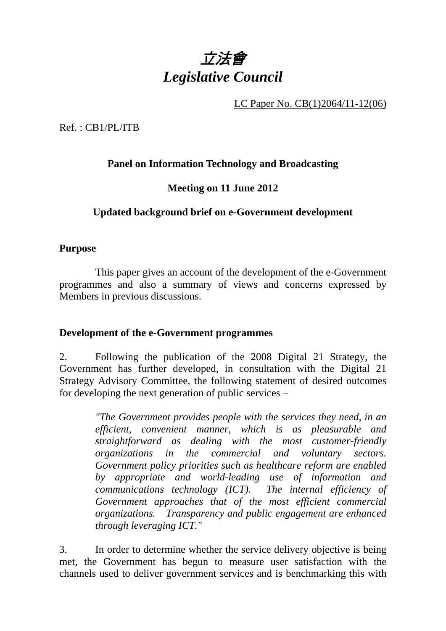

LC Paper No. CB(1)2064/11-12(06)

Ref. : CB1/PL/ITB

# **Panel on Information Technology and Broadcasting**

### **Meeting on 11 June 2012**

## **Updated background brief on e-Government development**

#### **Purpose**

 This paper gives an account of the development of the e-Government programmes and also a summary of views and concerns expressed by Members in previous discussions.

#### **Development of the e-Government programmes**

2. Following the publication of the 2008 Digital 21 Strategy, the Government has further developed, in consultation with the Digital 21 Strategy Advisory Committee, the following statement of desired outcomes for developing the next generation of public services –

> *"The Government provides people with the services they need, in an efficient, convenient manner, which is as pleasurable and straightforward as dealing with the most customer-friendly organizations in the commercial and voluntary sectors. Government policy priorities such as healthcare reform are enabled by appropriate and world-leading use of information and communications technology (ICT). The internal efficiency of Government approaches that of the most efficient commercial organizations. Transparency and public engagement are enhanced through leveraging ICT."*

3. In order to determine whether the service delivery objective is being met, the Government has begun to measure user satisfaction with the channels used to deliver government services and is benchmarking this with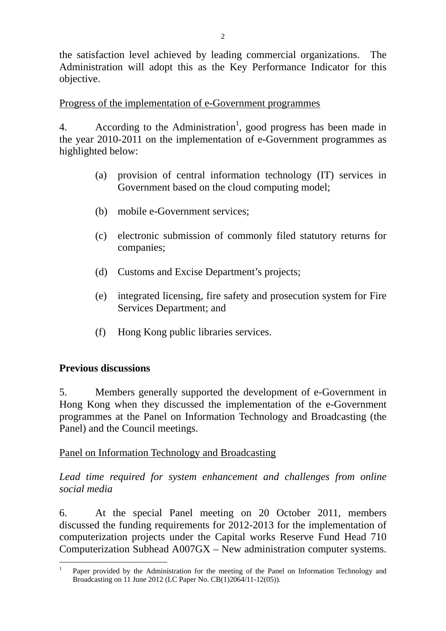the satisfaction level achieved by leading commercial organizations. The Administration will adopt this as the Key Performance Indicator for this objective.

# Progress of the implementation of e-Government programmes

4. According to the Administration<sup>1</sup>, good progress has been made in the year 2010-2011 on the implementation of e-Government programmes as highlighted below:

- (a) provision of central information technology (IT) services in Government based on the cloud computing model;
- (b) mobile e-Government services;
- (c) electronic submission of commonly filed statutory returns for companies;
- (d) Customs and Excise Department's projects;
- (e) integrated licensing, fire safety and prosecution system for Fire Services Department; and
- (f) Hong Kong public libraries services.

### **Previous discussions**

5. Members generally supported the development of e-Government in Hong Kong when they discussed the implementation of the e-Government programmes at the Panel on Information Technology and Broadcasting (the Panel) and the Council meetings.

### Panel on Information Technology and Broadcasting

*Lead time required for system enhancement and challenges from online social media*

6. At the special Panel meeting on 20 October 2011, members discussed the funding requirements for 2012-2013 for the implementation of computerization projects under the Capital works Reserve Fund Head 710 Computerization Subhead A007GX – New administration computer systems.

 $\overline{a}$ 1 Paper provided by the Administration for the meeting of the Panel on Information Technology and Broadcasting on 11 June 2012 (LC Paper No. CB(1)2064/11-12(05)).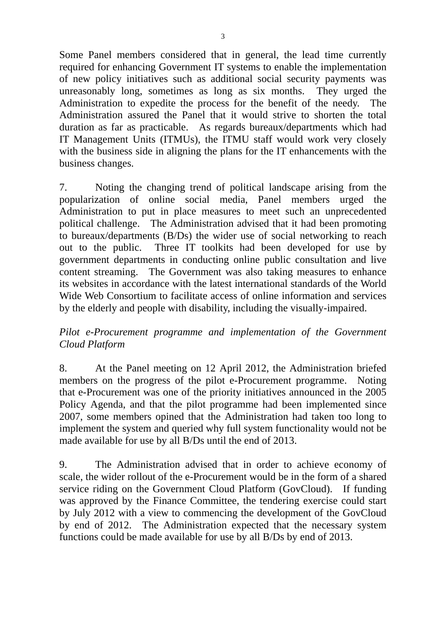Some Panel members considered that in general, the lead time currently required for enhancing Government IT systems to enable the implementation of new policy initiatives such as additional social security payments was unreasonably long, sometimes as long as six months. They urged the Administration to expedite the process for the benefit of the needy. The Administration assured the Panel that it would strive to shorten the total duration as far as practicable. As regards bureaux/departments which had IT Management Units (ITMUs), the ITMU staff would work very closely with the business side in aligning the plans for the IT enhancements with the business changes.

7. Noting the changing trend of political landscape arising from the popularization of online social media, Panel members urged the Administration to put in place measures to meet such an unprecedented political challenge. The Administration advised that it had been promoting to bureaux/departments (B/Ds) the wider use of social networking to reach out to the public. Three IT toolkits had been developed for use by government departments in conducting online public consultation and live content streaming. The Government was also taking measures to enhance its websites in accordance with the latest international standards of the World Wide Web Consortium to facilitate access of online information and services by the elderly and people with disability, including the visually-impaired.

## *Pilot e-Procurement programme and implementation of the Government Cloud Platform*

8. At the Panel meeting on 12 April 2012, the Administration briefed members on the progress of the pilot e-Procurement programme. Noting that e-Procurement was one of the priority initiatives announced in the 2005 Policy Agenda, and that the pilot programme had been implemented since 2007, some members opined that the Administration had taken too long to implement the system and queried why full system functionality would not be made available for use by all B/Ds until the end of 2013.

9. The Administration advised that in order to achieve economy of scale, the wider rollout of the e-Procurement would be in the form of a shared service riding on the Government Cloud Platform (GovCloud). If funding was approved by the Finance Committee, the tendering exercise could start by July 2012 with a view to commencing the development of the GovCloud by end of 2012. The Administration expected that the necessary system functions could be made available for use by all B/Ds by end of 2013.